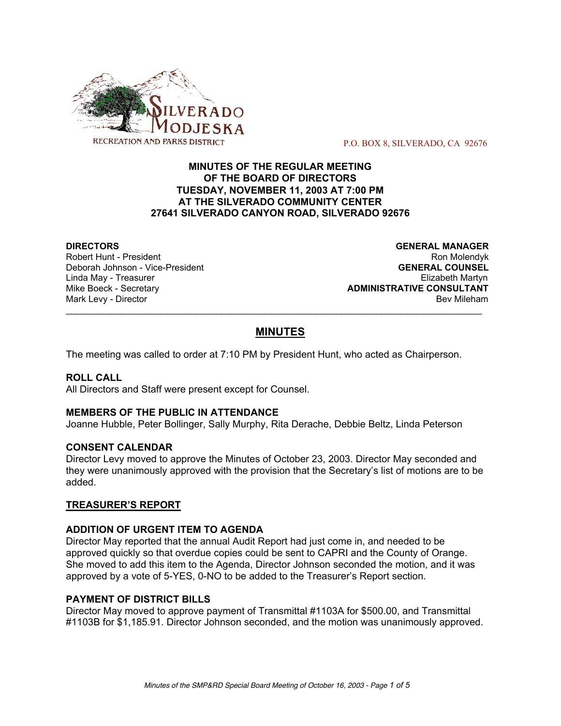

P.O. BOX 8, SILVERADO, CA 92676

# **MINUTES OF THE REGULAR MEETING OF THE BOARD OF DIRECTORS TUESDAY, NOVEMBER 11, 2003 AT 7:00 PM AT THE SILVERADO COMMUNITY CENTER 27641 SILVERADO CANYON ROAD, SILVERADO 92676**

**Deborah Johnson - Vice-President** 

**DIRECTORS GENERAL MANAGER** Robert Hunt - President Robert Hunt - President Australia et al. 2009 Ron Molendyk<br>Deborah Johnson - Vice-President Roman Roman Roman Roman Roman Roman Roman Roman Roman Roman Roman Roman Roman Linda May - Treasurer Elizabeth Martyn Mike Boeck - Secretary **ADMINISTRATIVE CONSULTANT** Mark Levy - Director **Bev Mileham Mark Levy** - Director

# **MINUTES**

 $\mathcal{L}_\text{max}$  , and the set of the set of the set of the set of the set of the set of the set of the set of the set of the set of the set of the set of the set of the set of the set of the set of the set of the set of the

The meeting was called to order at 7:10 PM by President Hunt, who acted as Chairperson.

#### **ROLL CALL**

All Directors and Staff were present except for Counsel.

#### **MEMBERS OF THE PUBLIC IN ATTENDANCE**

Joanne Hubble, Peter Bollinger, Sally Murphy, Rita Derache, Debbie Beltz, Linda Peterson

#### **CONSENT CALENDAR**

Director Levy moved to approve the Minutes of October 23, 2003. Director May seconded and they were unanimously approved with the provision that the Secretary's list of motions are to be added.

#### **TREASURER'S REPORT**

# **ADDITION OF URGENT ITEM TO AGENDA**

Director May reported that the annual Audit Report had just come in, and needed to be approved quickly so that overdue copies could be sent to CAPRI and the County of Orange. She moved to add this item to the Agenda, Director Johnson seconded the motion, and it was approved by a vote of 5-YES, 0-NO to be added to the Treasurer's Report section.

# **PAYMENT OF DISTRICT BILLS**

Director May moved to approve payment of Transmittal #1103A for \$500.00, and Transmittal #1103B for \$1,185.91. Director Johnson seconded, and the motion was unanimously approved.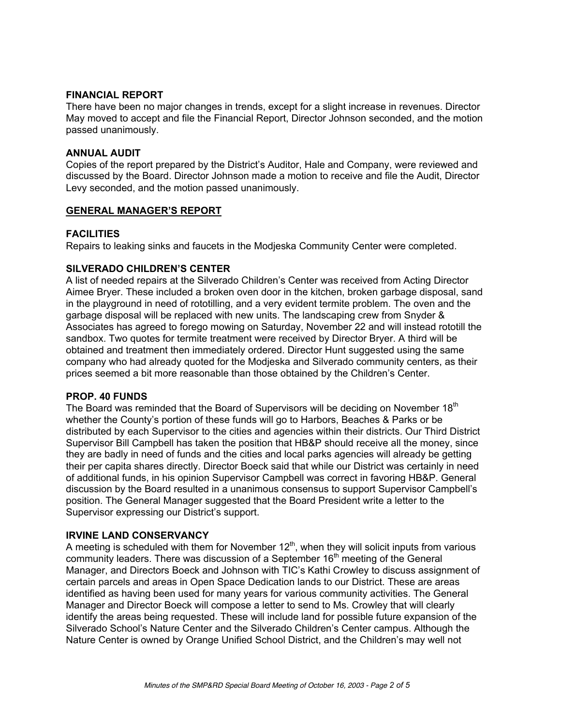#### **FINANCIAL REPORT**

There have been no major changes in trends, except for a slight increase in revenues. Director May moved to accept and file the Financial Report, Director Johnson seconded, and the motion passed unanimously.

#### **ANNUAL AUDIT**

Copies of the report prepared by the District's Auditor, Hale and Company, were reviewed and discussed by the Board. Director Johnson made a motion to receive and file the Audit, Director Levy seconded, and the motion passed unanimously.

#### **GENERAL MANAGER'S REPORT**

#### **FACILITIES**

Repairs to leaking sinks and faucets in the Modjeska Community Center were completed.

#### **SILVERADO CHILDREN'S CENTER**

A list of needed repairs at the Silverado Children's Center was received from Acting Director Aimee Bryer. These included a broken oven door in the kitchen, broken garbage disposal, sand in the playground in need of rototilling, and a very evident termite problem. The oven and the garbage disposal will be replaced with new units. The landscaping crew from Snyder & Associates has agreed to forego mowing on Saturday, November 22 and will instead rototill the sandbox. Two quotes for termite treatment were received by Director Bryer. A third will be obtained and treatment then immediately ordered. Director Hunt suggested using the same company who had already quoted for the Modjeska and Silverado community centers, as their prices seemed a bit more reasonable than those obtained by the Children's Center.

#### **PROP. 40 FUNDS**

The Board was reminded that the Board of Supervisors will be deciding on November  $18<sup>th</sup>$ whether the County's portion of these funds will go to Harbors, Beaches & Parks or be distributed by each Supervisor to the cities and agencies within their districts. Our Third District Supervisor Bill Campbell has taken the position that HB&P should receive all the money, since they are badly in need of funds and the cities and local parks agencies will already be getting their per capita shares directly. Director Boeck said that while our District was certainly in need of additional funds, in his opinion Supervisor Campbell was correct in favoring HB&P. General discussion by the Board resulted in a unanimous consensus to support Supervisor Campbell's position. The General Manager suggested that the Board President write a letter to the Supervisor expressing our District's support.

#### **IRVINE LAND CONSERVANCY**

A meeting is scheduled with them for November 12<sup>th</sup>, when they will solicit inputs from various community leaders. There was discussion of a September 16<sup>th</sup> meeting of the General Manager, and Directors Boeck and Johnson with TIC's Kathi Crowley to discuss assignment of certain parcels and areas in Open Space Dedication lands to our District. These are areas identified as having been used for many years for various community activities. The General Manager and Director Boeck will compose a letter to send to Ms. Crowley that will clearly identify the areas being requested. These will include land for possible future expansion of the Silverado School's Nature Center and the Silverado Children's Center campus. Although the Nature Center is owned by Orange Unified School District, and the Children's may well not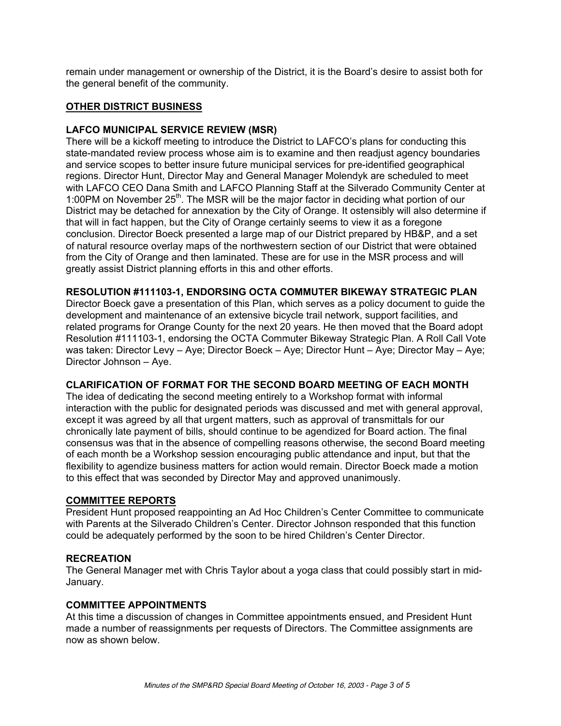remain under management or ownership of the District, it is the Board's desire to assist both for the general benefit of the community.

# **OTHER DISTRICT BUSINESS**

# **LAFCO MUNICIPAL SERVICE REVIEW (MSR)**

There will be a kickoff meeting to introduce the District to LAFCO's plans for conducting this state-mandated review process whose aim is to examine and then readjust agency boundaries and service scopes to better insure future municipal services for pre-identified geographical regions. Director Hunt, Director May and General Manager Molendyk are scheduled to meet with LAFCO CEO Dana Smith and LAFCO Planning Staff at the Silverado Community Center at 1:00PM on November 25<sup>th</sup>. The MSR will be the major factor in deciding what portion of our District may be detached for annexation by the City of Orange. It ostensibly will also determine if that will in fact happen, but the City of Orange certainly seems to view it as a foregone conclusion. Director Boeck presented a large map of our District prepared by HB&P, and a set of natural resource overlay maps of the northwestern section of our District that were obtained from the City of Orange and then laminated. These are for use in the MSR process and will greatly assist District planning efforts in this and other efforts.

**RESOLUTION #111103-1, ENDORSING OCTA COMMUTER BIKEWAY STRATEGIC PLAN**

Director Boeck gave a presentation of this Plan, which serves as a policy document to guide the development and maintenance of an extensive bicycle trail network, support facilities, and related programs for Orange County for the next 20 years. He then moved that the Board adopt Resolution #111103-1, endorsing the OCTA Commuter Bikeway Strategic Plan. A Roll Call Vote was taken: Director Levy – Aye; Director Boeck – Aye; Director Hunt – Aye; Director May – Aye; Director Johnson – Aye.

#### **CLARIFICATION OF FORMAT FOR THE SECOND BOARD MEETING OF EACH MONTH**

The idea of dedicating the second meeting entirely to a Workshop format with informal interaction with the public for designated periods was discussed and met with general approval, except it was agreed by all that urgent matters, such as approval of transmittals for our chronically late payment of bills, should continue to be agendized for Board action. The final consensus was that in the absence of compelling reasons otherwise, the second Board meeting of each month be a Workshop session encouraging public attendance and input, but that the flexibility to agendize business matters for action would remain. Director Boeck made a motion to this effect that was seconded by Director May and approved unanimously.

# **COMMITTEE REPORTS**

President Hunt proposed reappointing an Ad Hoc Children's Center Committee to communicate with Parents at the Silverado Children's Center. Director Johnson responded that this function could be adequately performed by the soon to be hired Children's Center Director.

# **RECREATION**

The General Manager met with Chris Taylor about a yoga class that could possibly start in mid-January.

# **COMMITTEE APPOINTMENTS**

At this time a discussion of changes in Committee appointments ensued, and President Hunt made a number of reassignments per requests of Directors. The Committee assignments are now as shown below.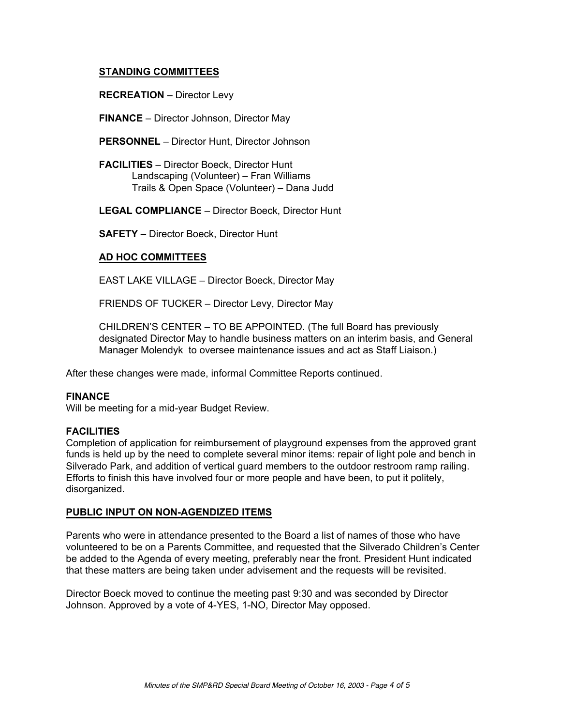# **STANDING COMMITTEES**

**RECREATION** – Director Levy

**FINANCE** – Director Johnson, Director May

**PERSONNEL** – Director Hunt, Director Johnson

**FACILITIES** – Director Boeck, Director Hunt Landscaping (Volunteer) – Fran Williams Trails & Open Space (Volunteer) – Dana Judd

**LEGAL COMPLIANCE** – Director Boeck, Director Hunt

**SAFETY** – Director Boeck, Director Hunt

#### **AD HOC COMMITTEES**

EAST LAKE VILLAGE – Director Boeck, Director May

FRIENDS OF TUCKER – Director Levy, Director May

CHILDREN'S CENTER – TO BE APPOINTED. (The full Board has previously designated Director May to handle business matters on an interim basis, and General Manager Molendyk to oversee maintenance issues and act as Staff Liaison.)

After these changes were made, informal Committee Reports continued.

#### **FINANCE**

Will be meeting for a mid-year Budget Review.

#### **FACILITIES**

Completion of application for reimbursement of playground expenses from the approved grant funds is held up by the need to complete several minor items: repair of light pole and bench in Silverado Park, and addition of vertical guard members to the outdoor restroom ramp railing. Efforts to finish this have involved four or more people and have been, to put it politely, disorganized.

#### **PUBLIC INPUT ON NON-AGENDIZED ITEMS**

Parents who were in attendance presented to the Board a list of names of those who have volunteered to be on a Parents Committee, and requested that the Silverado Children's Center be added to the Agenda of every meeting, preferably near the front. President Hunt indicated that these matters are being taken under advisement and the requests will be revisited.

Director Boeck moved to continue the meeting past 9:30 and was seconded by Director Johnson. Approved by a vote of 4-YES, 1-NO, Director May opposed.